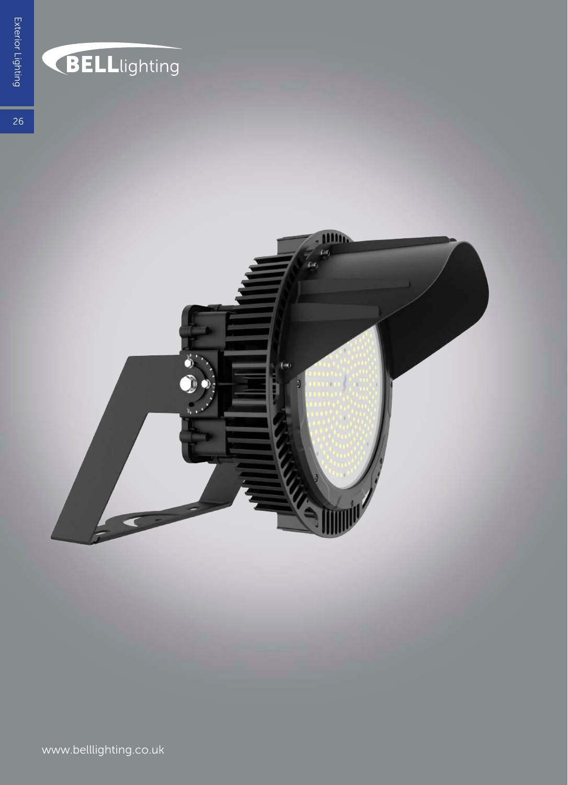

## BELLlighting

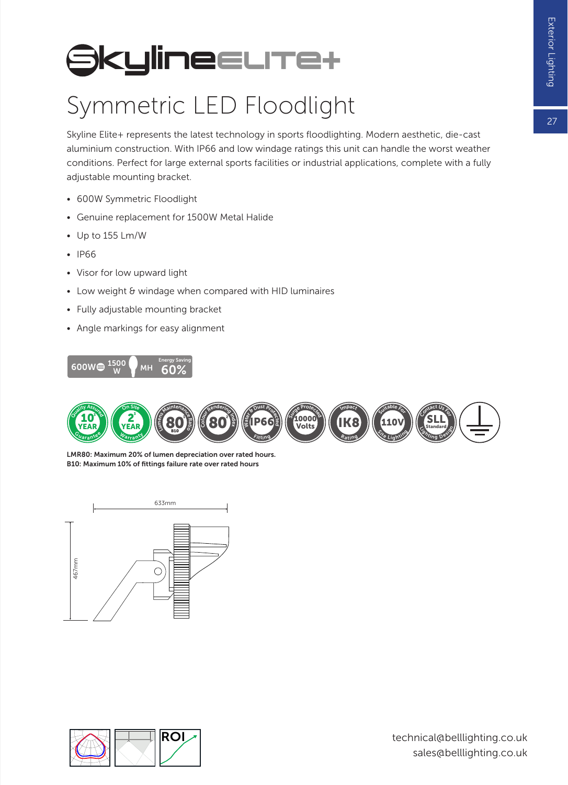## **SkylineELITe+**

## Symmetric LED Floodlight

Skyline Elite+ represents the latest technology in sports floodlighting. Modern aesthetic, die-cast aluminium construction. With IP66 and low windage ratings this unit can handle the worst weather conditions. Perfect for large external sports facilities or industrial applications, complete with a fully adjustable mounting bracket.

- 600W Symmetric Floodlight
- Genuine replacement for 1500W Metal Halide
- Up to 155 Lm/W
- IP66
- Visor for low upward light
- Low weight & windage when compared with HID luminaires
- Fully adjustable mounting bracket
- Angle markings for easy alignment





LMR80: Maximum 20% of lumen depreciation over rated hours. B10: Maximum 10% of fittings failure rate over rated hours



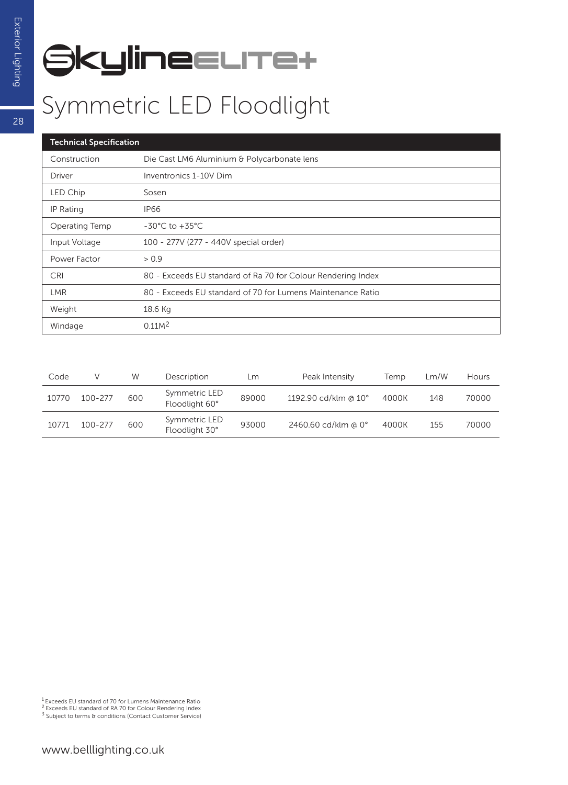## **SkylineELITe+**

| <b>Technical Specification</b> |                                                              |  |  |  |  |
|--------------------------------|--------------------------------------------------------------|--|--|--|--|
| Construction                   | Die Cast LM6 Aluminium & Polycarbonate lens                  |  |  |  |  |
| <b>Driver</b>                  | Inventronics 1-10V Dim                                       |  |  |  |  |
| LED Chip                       | Sosen                                                        |  |  |  |  |
| IP Rating                      | <b>IP66</b>                                                  |  |  |  |  |
| Operating Temp                 | $-30^{\circ}$ C to $+35^{\circ}$ C                           |  |  |  |  |
| Input Voltage                  | 100 - 277V (277 - 440V special order)                        |  |  |  |  |
| Power Factor                   | > 0.9                                                        |  |  |  |  |
| <b>CRI</b>                     | 80 - Exceeds EU standard of Ra 70 for Colour Rendering Index |  |  |  |  |
| <b>LMR</b>                     | 80 - Exceeds EU standard of 70 for Lumens Maintenance Ratio  |  |  |  |  |
| Weight                         | 18.6 Kg                                                      |  |  |  |  |
| Windage                        | 0.11M <sup>2</sup>                                           |  |  |  |  |

| Code  |             | W   | Description                     | Lm    | Peak Intensity       | Temp  | Lm/W | Hours |
|-------|-------------|-----|---------------------------------|-------|----------------------|-------|------|-------|
| 10770 | $100 - 277$ | 600 | Symmetric LED<br>Floodlight 60° | 89000 | 1192.90 cd/klm @ 10° | 4000K | 148  | 70000 |
| 10771 | $100 - 277$ | 600 | Symmetric LED<br>Floodlight 30° | 93000 | 2460.60 cd/klm @ 0°  | 4000K | 155  | 70000 |

<sup>1</sup> Exceeds EU standard of 70 for Lumens Maintenance Ratio<br><sup>2</sup> Exceeds EU standard of RA 70 for Colour Rendering Index<br><sup>3</sup> Subject to terms & conditions (Contact Customer Service)

28